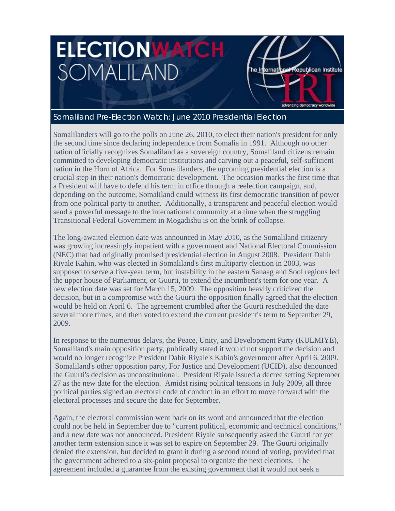# **ELECTIONWATCH** SOMALILAND



incing democracy worldwide

## Somaliland Pre-Election Watch: June 2010 Presidential Election

Somalilanders will go to the polls on June 26, 2010, to elect their nation's president for only the second time since declaring independence from Somalia in 1991. Although no other nation officially recognizes Somaliland as a sovereign country, Somaliland citizens remain committed to developing democratic institutions and carving out a peaceful, self-sufficient nation in the Horn of Africa. For Somalilanders, the upcoming presidential election is a crucial step in their nation's democratic development. The occasion marks the first time that a President will have to defend his term in office through a reelection campaign, and, depending on the outcome, Somaliland could witness its first democratic transition of power from one political party to another. Additionally, a transparent and peaceful election would send a powerful message to the international community at a time when the struggling Transitional Federal Government in Mogadishu is on the brink of collapse.

The long-awaited election date was announced in May 2010, as the Somaliland citizenry was growing increasingly impatient with a government and National Electoral Commission (NEC) that had originally promised presidential election in August 2008. President Dahir Riyale Kahin, who was elected in Somaliland's first multiparty election in 2003, was supposed to serve a five-year term, but instability in the eastern Sanaag and Sool regions led the upper house of Parliament, or Guurti, to extend the incumbent's term for one year. A new election date was set for March 15, 2009. The opposition heavily criticized the decision, but in a compromise with the Guurti the opposition finally agreed that the election would be held on April 6. The agreement crumbled after the Guurti rescheduled the date several more times, and then voted to extend the current president's term to September 29, 2009.

In response to the numerous delays, the Peace, Unity, and Development Party (KULMIYE), Somaliland's main opposition party, publically stated it would not support the decision and would no longer recognize President Dahir Riyale's Kahin's government after April 6, 2009. Somaliland's other opposition party, For Justice and Development (UCID), also denounced the Guurti's decision as unconstitutional. President Riyale issued a decree setting September 27 as the new date for the election. Amidst rising political tensions in July 2009, all three political parties signed an electoral code of conduct in an effort to move forward with the electoral processes and secure the date for September.

Again, the electoral commission went back on its word and announced that the election could not be held in September due to "current political, economic and technical conditions," and a new date was not announced. President Riyale subsequently asked the Guurti for yet another term extension since it was set to expire on September 29. The Guurti originally denied the extension, but decided to grant it during a second round of voting, provided that the government adhered to a six-point proposal to organize the next elections. The agreement included a guarantee from the existing government that it would not seek a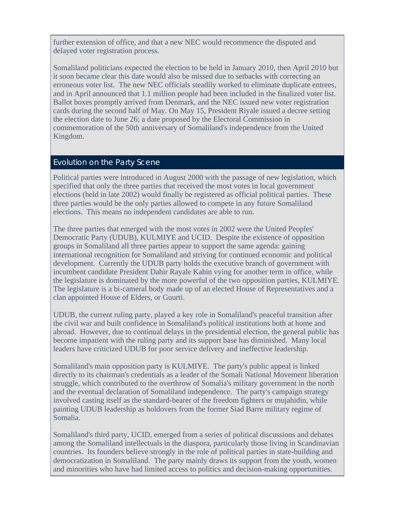further extension of office, and that a new NEC would recommence the disputed and delayed voter registration process.

Somaliland politicians expected the election to be held in January 2010, then April 2010 but it soon became clear this date would also be missed due to setbacks with correcting an erroneous voter list. The new NEC officials steadily worked to eliminate duplicate entrees, and in April announced that 1.1 million people had been included in the finalized voter list. Ballot boxes promptly arrived from Denmark, and the NEC issued new voter registration cards during the second half of May. On May 15, President Riyale issued a decree setting the election date to June 26; a date proposed by the Electoral Commission in commemoration of the 50th anniversary of Somaliland's independence from the United Kingdom.

#### Evolution on the Party Scene

Political parties were introduced in August 2000 with the passage of new legislation, which specified that only the three parties that received the most votes in local government elections (held in late 2002) would finally be registered as official political parties. These three parties would be the only parties allowed to compete in any future Somaliland elections. This means no independent candidates are able to run.

The three parties that emerged with the most votes in 2002 were the United Peoples' Democratic Party (UDUB), KULMIYE and UCID. Despite the existence of opposition groups in Somaliland all three parties appear to support the same agenda: gaining international recognition for Somaliland and striving for continued economic and political development. Currently the UDUB party holds the executive branch of government with incumbent candidate President Dahir Rayale Kahin vying for another term in office, while the legislature is dominated by the more powerful of the two opposition parties, KULMIYE. The legislature is a bi-cameral body made up of an elected House of Representatives and a clan appointed House of Elders, or Guurti.

UDUB, the current ruling party, played a key role in Somaliland's peaceful transition after the civil war and built confidence in Somaliland's political institutions both at home and abroad. However, due to continual delays in the presidential election, the general public has become impatient with the ruling party and its support base has diminished. Many local leaders have criticized UDUB for poor service delivery and ineffective leadership.

Somaliland's main opposition party is KULMIYE. The party's public appeal is linked directly to its chairman's credentials as a leader of the Somali National Movement liberation struggle, which contributed to the overthrow of Somalia's military government in the north and the eventual declaration of Somaliland independence. The party's campaign strategy involved casting itself as the standard-bearer of the freedom fighters or mujahidin, while painting UDUB leadership as holdovers from the former Siad Barre military regime of Somalia.

Somaliland's third party, UCID, emerged from a series of political discussions and debates among the Somaliland intellectuals in the diaspora, particularly those living in Scandinavian countries. Its founders believe strongly in the role of political parties in state-building and democratization in Somaliland. The party mainly draws its support from the youth, women and minorities who have had limited access to politics and decision-making opportunities.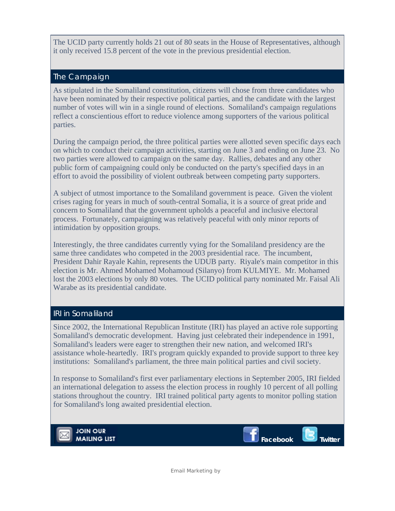The UCID party currently holds 21 out of 80 seats in the House of Representatives, although it only received 15.8 percent of the vote in the previous presidential election.

### The Campaign

As stipulated in the Somaliland constitution, citizens will chose from three candidates who have been nominated by their respective political parties, and the candidate with the largest number of votes will win in a single round of elections. Somaliland's campaign regulations reflect a conscientious effort to reduce violence among supporters of the various political parties.

During the campaign period, the three political parties were allotted seven specific days each on which to conduct their campaign activities, starting on June 3 and ending on June 23. No two parties were allowed to campaign on the same day. Rallies, debates and any other public form of campaigning could only be conducted on the party's specified days in an effort to avoid the possibility of violent outbreak between competing party supporters.

A subject of utmost importance to the Somaliland government is peace. Given the violent crises raging for years in much of south-central Somalia, it is a source of great pride and concern to Somaliland that the government upholds a peaceful and inclusive electoral process. Fortunately, campaigning was relatively peaceful with only minor reports of intimidation by opposition groups.

Interestingly, the three candidates currently vying for the Somaliland presidency are the same three candidates who competed in the 2003 presidential race. The incumbent, President Dahir Rayale Kahin, represents the UDUB party. Riyale's main competitor in this election is Mr. Ahmed Mohamed Mohamoud (Silanyo) from KULMIYE. Mr. Mohamed lost the 2003 elections by only 80 votes. The UCID political party nominated Mr. Faisal Ali Warabe as its presidential candidate.

#### IRI in Somaliland

Since 2002, the International Republican Institute (IRI) has played an active role supporting Somaliland's democratic development. Having just celebrated their independence in 1991, Somaliland's leaders were eager to strengthen their new nation, and welcomed IRI's assistance whole-heartedly. IRI's program quickly expanded to provide support to three key institutions: Somaliland's parliament, the three main political parties and civil society.

In response to Somaliland's first ever parliamentary elections in September 2005, IRI fielded an international delegation to assess the election process in roughly 10 percent of all polling stations throughout the country. IRI trained political party agents to monitor polling station for Somaliland's long awaited presidential election.







Email Marketing by